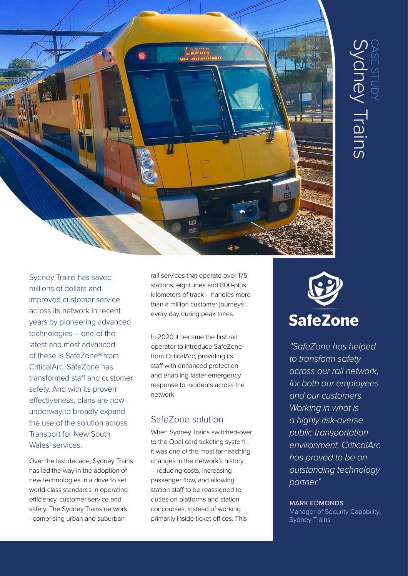

Sydney Trains has saved millions of dollars and improved customer service across its network in recent years by pioneering advanced technologies – one of the latest and most advanced of these is SafeZone® from CriticalArc. SafeZone has transformed staff and customer safety. And with its proven effectiveness, plans are now underway to broadly expand the use of the solution across Transport for New South Wales' services.

Over the last decade, Sydney Trains has led the way in the adoption of new technologies in a drive to set world-class standards in operating efficiency, customer service and safety. The Sydney Trains network - comprising urban and suburban

rail services that operate over 175 stations, eight lines and 800-plus kilometers of track - handles more than a million customer journeys every day during peak times.

In 2020 it became the first rail operator to introduce SafeZone from CriticalArc, providing its staff with enhanced protection and enabling faster emergency response to incidents across the network.

## SafeZone solution

When Sydney Trains switched-over to the Opal card ticketing system , it was one of the most far-reaching changes in the network's history – reducing costs, increasing passenger flow, and allowing station staff to be reassigned to duties on platforms and station concourses, instead of working primarily inside ticket offices. This



*"SafeZone has helped to transform safety across our rail network, for both our employees and our customers. Working in what is a highly risk-averse public transportation environment, CriticalArc has proved to be an outstanding technology partner."*

## **MARK EDMONDS**

Manager of Security Capability, Sydney Trains